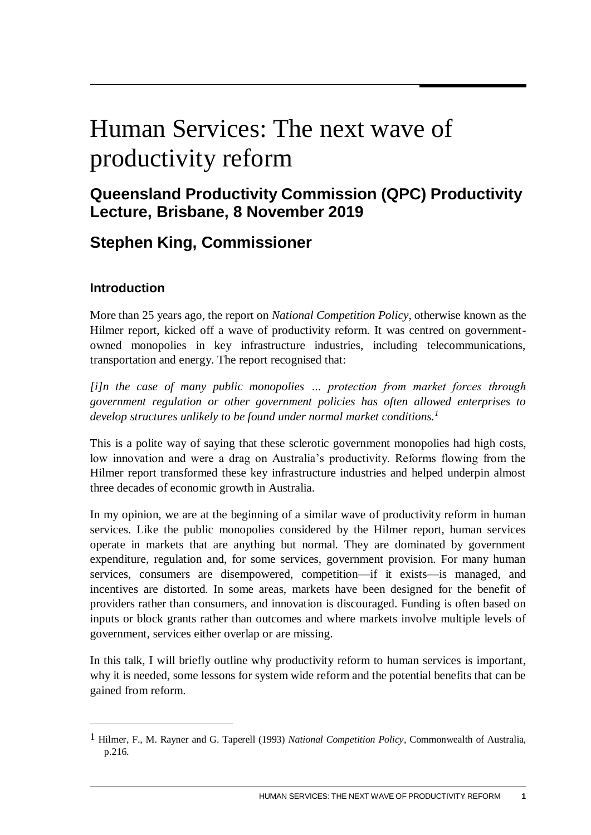# Human Services: The next wave of productivity reform

# **Queensland Productivity Commission (QPC) Productivity Lecture, Brisbane, 8 November 2019**

# **Stephen King, Commissioner**

# **Introduction**

1

More than 25 years ago, the report on *National Competition Policy*, otherwise known as the Hilmer report, kicked off a wave of productivity reform. It was centred on governmentowned monopolies in key infrastructure industries, including telecommunications, transportation and energy. The report recognised that:

*[i]n the case of many public monopolies … protection from market forces through government regulation or other government policies has often allowed enterprises to develop structures unlikely to be found under normal market conditions.<sup>1</sup>*

This is a polite way of saying that these sclerotic government monopolies had high costs, low innovation and were a drag on Australia's productivity. Reforms flowing from the Hilmer report transformed these key infrastructure industries and helped underpin almost three decades of economic growth in Australia.

In my opinion, we are at the beginning of a similar wave of productivity reform in human services. Like the public monopolies considered by the Hilmer report, human services operate in markets that are anything but normal. They are dominated by government expenditure, regulation and, for some services, government provision. For many human services, consumers are disempowered, competition—if it exists—is managed, and incentives are distorted. In some areas, markets have been designed for the benefit of providers rather than consumers, and innovation is discouraged. Funding is often based on inputs or block grants rather than outcomes and where markets involve multiple levels of government, services either overlap or are missing.

In this talk, I will briefly outline why productivity reform to human services is important, why it is needed, some lessons for system wide reform and the potential benefits that can be gained from reform.

<sup>1</sup> Hilmer, F., M. Rayner and G. Taperell (1993) *National Competition Policy*, Commonwealth of Australia, p.216.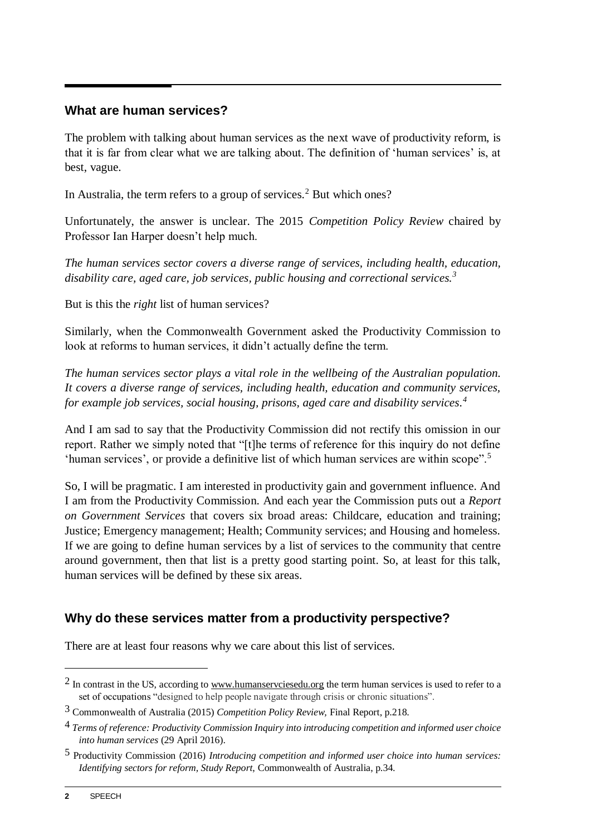#### **What are human services?**

The problem with talking about human services as the next wave of productivity reform, is that it is far from clear what we are talking about. The definition of 'human services' is, at best, vague.

In Australia, the term refers to a group of services.<sup>2</sup> But which ones?

Unfortunately, the answer is unclear. The 2015 *Competition Policy Review* chaired by Professor Ian Harper doesn't help much.

*The human services sector covers a diverse range of services, including health, education, disability care, aged care, job services, public housing and correctional services.<sup>3</sup>*

But is this the *right* list of human services?

Similarly, when the Commonwealth Government asked the Productivity Commission to look at reforms to human services, it didn't actually define the term.

*The human services sector plays a vital role in the wellbeing of the Australian population. It covers a diverse range of services, including health, education and community services, for example job services, social housing, prisons, aged care and disability services. 4*

And I am sad to say that the Productivity Commission did not rectify this omission in our report. Rather we simply noted that "[t]he terms of reference for this inquiry do not define 'human services', or provide a definitive list of which human services are within scope".<sup>5</sup>

So, I will be pragmatic. I am interested in productivity gain and government influence. And I am from the Productivity Commission. And each year the Commission puts out a *Report on Government Services* that covers six broad areas: Childcare, education and training; Justice; Emergency management; Health; Community services; and Housing and homeless. If we are going to define human services by a list of services to the community that centre around government, then that list is a pretty good starting point. So, at least for this talk, human services will be defined by these six areas.

## **Why do these services matter from a productivity perspective?**

There are at least four reasons why we care about this list of services.

 $2$  In contrast in the US, according t[o www.humanservciesedu.org](http://www.humanservciesedu.org/) the term human services is used to refer to a set of occupations "designed to help people navigate through crisis or chronic situations".

<sup>3</sup> Commonwealth of Australia (2015) *Competition Policy Review,* Final Report, p.218.

<sup>4</sup> *Terms of reference: Productivity Commission Inquiry into introducing competition and informed user choice into human services* (29 April 2016).

<sup>5</sup> Productivity Commission (2016) *Introducing competition and informed user choice into human services: Identifying sectors for reform, Study Report*, Commonwealth of Australia, p.34.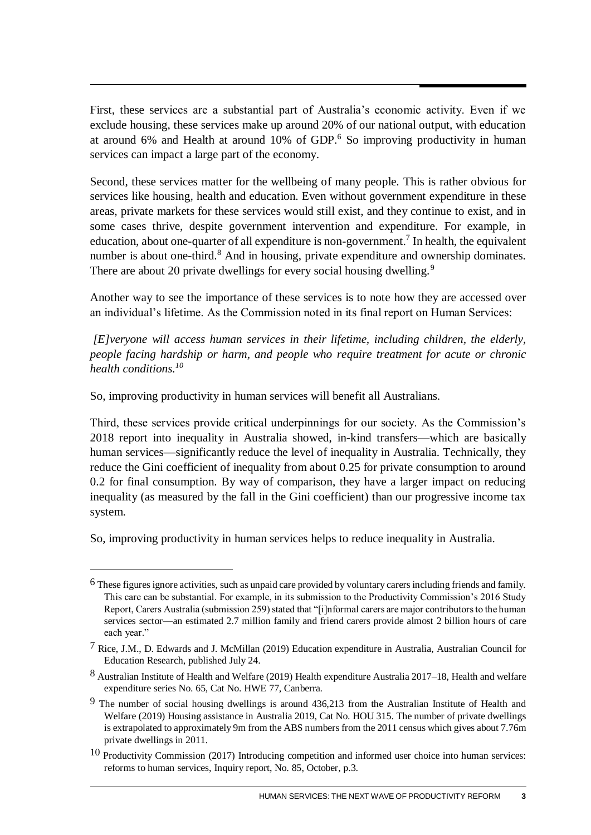First, these services are a substantial part of Australia's economic activity. Even if we exclude housing, these services make up around 20% of our national output, with education at around 6% and Health at around 10% of GDP. $6$  So improving productivity in human services can impact a large part of the economy.

Second, these services matter for the wellbeing of many people. This is rather obvious for services like housing, health and education. Even without government expenditure in these areas, private markets for these services would still exist, and they continue to exist, and in some cases thrive, despite government intervention and expenditure. For example, in education, about one-quarter of all expenditure is non-government.<sup>7</sup> In health, the equivalent number is about one-third.<sup>8</sup> And in housing, private expenditure and ownership dominates. There are about 20 private dwellings for every social housing dwelling.<sup>9</sup>

Another way to see the importance of these services is to note how they are accessed over an individual's lifetime. As the Commission noted in its final report on Human Services:

*[E]veryone will access human services in their lifetime, including children, the elderly, people facing hardship or harm, and people who require treatment for acute or chronic health conditions.<sup>10</sup>*

So, improving productivity in human services will benefit all Australians.

Third, these services provide critical underpinnings for our society. As the Commission's 2018 report into inequality in Australia showed, in-kind transfers—which are basically human services—significantly reduce the level of inequality in Australia. Technically, they reduce the Gini coefficient of inequality from about 0.25 for private consumption to around 0.2 for final consumption. By way of comparison, they have a larger impact on reducing inequality (as measured by the fall in the Gini coefficient) than our progressive income tax system.

So, improving productivity in human services helps to reduce inequality in Australia.

<u>.</u>

 $^6$  These figures ignore activities, such as unpaid care provided by voluntary carers including friends and family. This care can be substantial. For example, in its submission to the Productivity Commission's 2016 Study Report, Carers Australia (submission 259) stated that "[i]nformal carers are major contributors to the human services sector—an estimated 2.7 million family and friend carers provide almost 2 billion hours of care each year."

<sup>7</sup> Rice, J.M., D. Edwards and J. McMillan (2019) Education expenditure in Australia, Australian Council for Education Research, published July 24.

<sup>8</sup> Australian Institute of Health and Welfare (2019) Health expenditure Australia 2017–18, Health and welfare expenditure series No. 65, Cat No. HWE 77, Canberra.

<sup>9</sup> The number of social housing dwellings is around 436,213 from the Australian Institute of Health and Welfare (2019) Housing assistance in Australia 2019, Cat No. HOU 315. The number of private dwellings is extrapolated to approximately 9m from the ABS numbers from the 2011 census which gives about 7.76m private dwellings in 2011.

 $10$  Productivity Commission (2017) Introducing competition and informed user choice into human services: reforms to human services, Inquiry report, No. 85, October, p.3.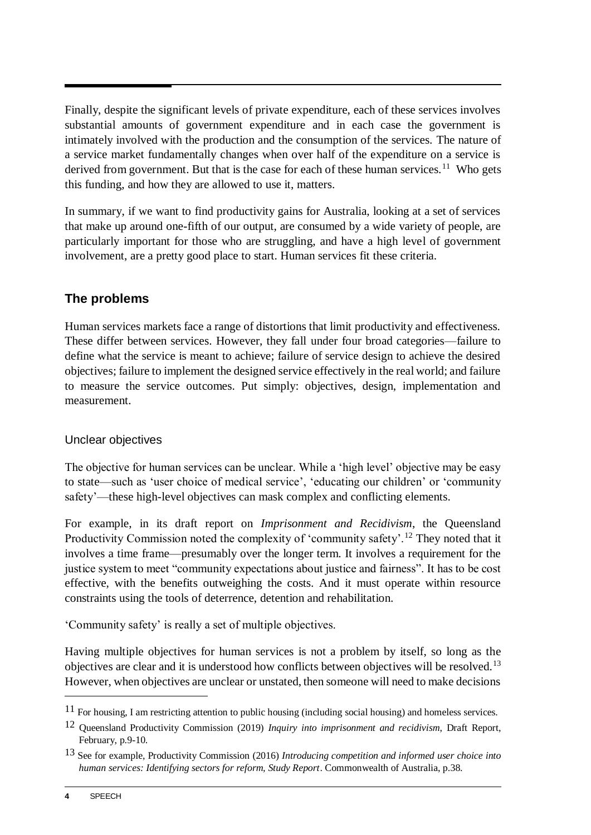Finally, despite the significant levels of private expenditure, each of these services involves substantial amounts of government expenditure and in each case the government is intimately involved with the production and the consumption of the services. The nature of a service market fundamentally changes when over half of the expenditure on a service is derived from government. But that is the case for each of these human services.<sup>11</sup> Who gets this funding, and how they are allowed to use it, matters.

In summary, if we want to find productivity gains for Australia, looking at a set of services that make up around one-fifth of our output, are consumed by a wide variety of people, are particularly important for those who are struggling, and have a high level of government involvement, are a pretty good place to start. Human services fit these criteria.

## **The problems**

Human services markets face a range of distortions that limit productivity and effectiveness. These differ between services. However, they fall under four broad categories—failure to define what the service is meant to achieve; failure of service design to achieve the desired objectives; failure to implement the designed service effectively in the real world; and failure to measure the service outcomes. Put simply: objectives, design, implementation and measurement.

#### Unclear objectives

The objective for human services can be unclear. While a 'high level' objective may be easy to state—such as 'user choice of medical service', 'educating our children' or 'community safety'—these high-level objectives can mask complex and conflicting elements.

For example, in its draft report on *Imprisonment and Recidivism*, the Queensland Productivity Commission noted the complexity of 'community safety'.<sup>12</sup> They noted that it involves a time frame—presumably over the longer term. It involves a requirement for the justice system to meet "community expectations about justice and fairness". It has to be cost effective, with the benefits outweighing the costs. And it must operate within resource constraints using the tools of deterrence, detention and rehabilitation.

'Community safety' is really a set of multiple objectives.

Having multiple objectives for human services is not a problem by itself, so long as the objectives are clear and it is understood how conflicts between objectives will be resolved.<sup>13</sup> However, when objectives are unclear or unstated, then someone will need to make decisions

<sup>11</sup> For housing, I am restricting attention to public housing (including social housing) and homeless services.

<sup>12</sup> Queensland Productivity Commission (2019) *Inquiry into imprisonment and recidivism*, Draft Report, February, p.9-10.

<sup>13</sup> See for example, Productivity Commission (2016) *Introducing competition and informed user choice into human services: Identifying sectors for reform, Study Report*. Commonwealth of Australia, p.38.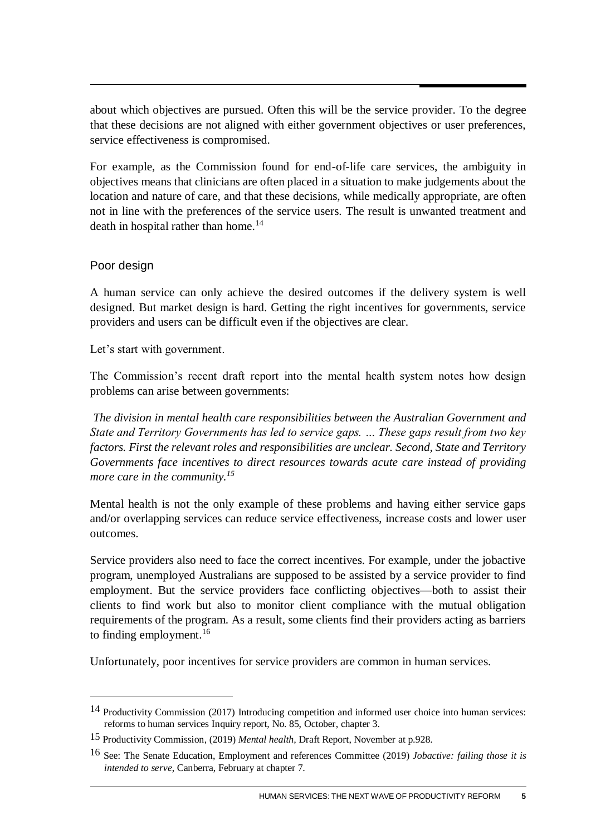about which objectives are pursued. Often this will be the service provider. To the degree that these decisions are not aligned with either government objectives or user preferences, service effectiveness is compromised.

For example, as the Commission found for end-of-life care services, the ambiguity in objectives means that clinicians are often placed in a situation to make judgements about the location and nature of care, and that these decisions, while medically appropriate, are often not in line with the preferences of the service users. The result is unwanted treatment and death in hospital rather than home.<sup>14</sup>

#### Poor design

1

A human service can only achieve the desired outcomes if the delivery system is well designed. But market design is hard. Getting the right incentives for governments, service providers and users can be difficult even if the objectives are clear.

Let's start with government.

The Commission's recent draft report into the mental health system notes how design problems can arise between governments:

*The division in mental health care responsibilities between the Australian Government and State and Territory Governments has led to service gaps. … These gaps result from two key factors. First the relevant roles and responsibilities are unclear. Second, State and Territory Governments face incentives to direct resources towards acute care instead of providing more care in the community.<sup>15</sup>*

Mental health is not the only example of these problems and having either service gaps and/or overlapping services can reduce service effectiveness, increase costs and lower user outcomes.

Service providers also need to face the correct incentives. For example, under the jobactive program, unemployed Australians are supposed to be assisted by a service provider to find employment. But the service providers face conflicting objectives—both to assist their clients to find work but also to monitor client compliance with the mutual obligation requirements of the program. As a result, some clients find their providers acting as barriers to finding employment. $16$ 

Unfortunately, poor incentives for service providers are common in human services.

<sup>14</sup> Productivity Commission (2017) Introducing competition and informed user choice into human services: reforms to human services Inquiry report, No. 85, October, chapter 3.

<sup>15</sup> Productivity Commission, (2019) *Mental health,* Draft Report, November at p.928.

<sup>16</sup> See: The Senate Education, Employment and references Committee (2019) *Jobactive: failing those it is intended to serve*, Canberra, February at chapter 7.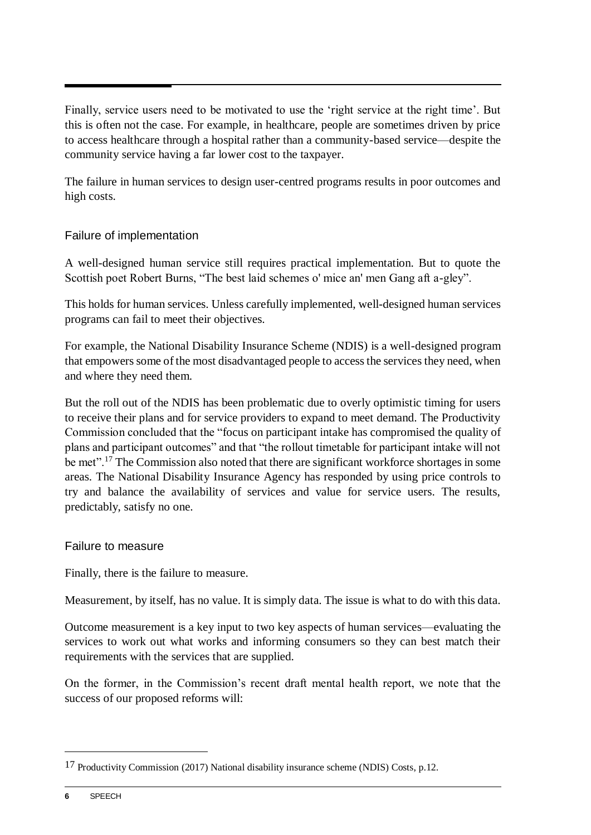Finally, service users need to be motivated to use the 'right service at the right time'. But this is often not the case. For example, in healthcare, people are sometimes driven by price to access healthcare through a hospital rather than a community-based service—despite the community service having a far lower cost to the taxpayer.

The failure in human services to design user-centred programs results in poor outcomes and high costs.

#### Failure of implementation

A well-designed human service still requires practical implementation. But to quote the Scottish poet Robert Burns, "The best laid schemes o' mice an' men Gang aft a-gley".

This holds for human services. Unless carefully implemented, well-designed human services programs can fail to meet their objectives.

For example, the National Disability Insurance Scheme (NDIS) is a well-designed program that empowers some of the most disadvantaged people to access the services they need, when and where they need them.

But the roll out of the NDIS has been problematic due to overly optimistic timing for users to receive their plans and for service providers to expand to meet demand. The Productivity Commission concluded that the "focus on participant intake has compromised the quality of plans and participant outcomes" and that "the rollout timetable for participant intake will not be met".<sup>17</sup> The Commission also noted that there are significant workforce shortages in some areas. The National Disability Insurance Agency has responded by using price controls to try and balance the availability of services and value for service users. The results, predictably, satisfy no one.

#### Failure to measure

Finally, there is the failure to measure.

Measurement, by itself, has no value. It is simply data. The issue is what to do with this data.

Outcome measurement is a key input to two key aspects of human services—evaluating the services to work out what works and informing consumers so they can best match their requirements with the services that are supplied.

On the former, in the Commission's recent draft mental health report, we note that the success of our proposed reforms will:

<sup>17</sup> Productivity Commission (2017) National disability insurance scheme (NDIS) Costs, p.12.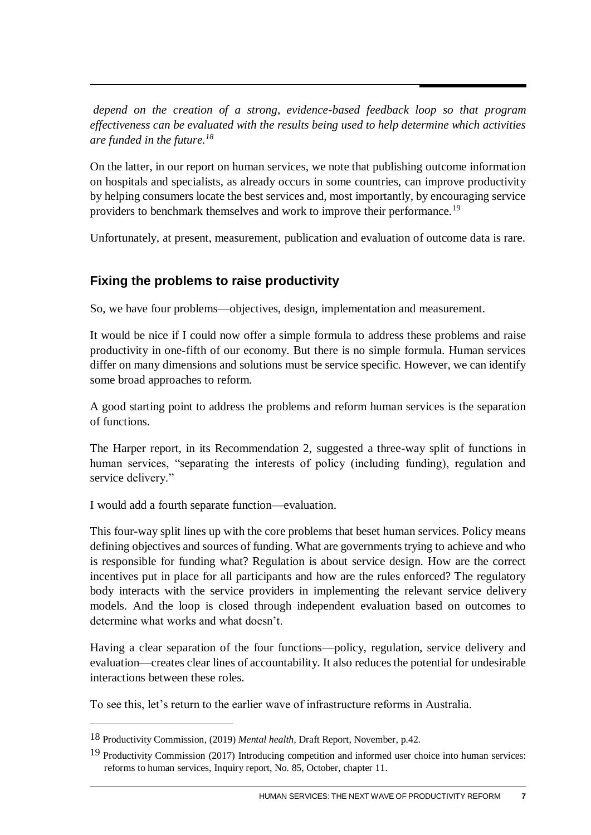*depend on the creation of a strong, evidence-based feedback loop so that program effectiveness can be evaluated with the results being used to help determine which activities are funded in the future.<sup>18</sup>*

On the latter, in our report on human services, we note that publishing outcome information on hospitals and specialists, as already occurs in some countries, can improve productivity by helping consumers locate the best services and, most importantly, by encouraging service providers to benchmark themselves and work to improve their performance.<sup>19</sup>

Unfortunately, at present, measurement, publication and evaluation of outcome data is rare.

# **Fixing the problems to raise productivity**

So, we have four problems—objectives, design, implementation and measurement.

It would be nice if I could now offer a simple formula to address these problems and raise productivity in one-fifth of our economy. But there is no simple formula. Human services differ on many dimensions and solutions must be service specific. However, we can identify some broad approaches to reform.

A good starting point to address the problems and reform human services is the separation of functions.

The Harper report, in its Recommendation 2, suggested a three-way split of functions in human services, "separating the interests of policy (including funding), regulation and service delivery."

I would add a fourth separate function—evaluation.

1

This four-way split lines up with the core problems that beset human services. Policy means defining objectives and sources of funding. What are governments trying to achieve and who is responsible for funding what? Regulation is about service design. How are the correct incentives put in place for all participants and how are the rules enforced? The regulatory body interacts with the service providers in implementing the relevant service delivery models. And the loop is closed through independent evaluation based on outcomes to determine what works and what doesn't.

Having a clear separation of the four functions—policy, regulation, service delivery and evaluation—creates clear lines of accountability. It also reduces the potential for undesirable interactions between these roles.

To see this, let's return to the earlier wave of infrastructure reforms in Australia.

<sup>18</sup> Productivity Commission, (2019) *Mental health,* Draft Report, November, p.42.

<sup>19</sup> Productivity Commission (2017) Introducing competition and informed user choice into human services: reforms to human services, Inquiry report, No. 85, October, chapter 11.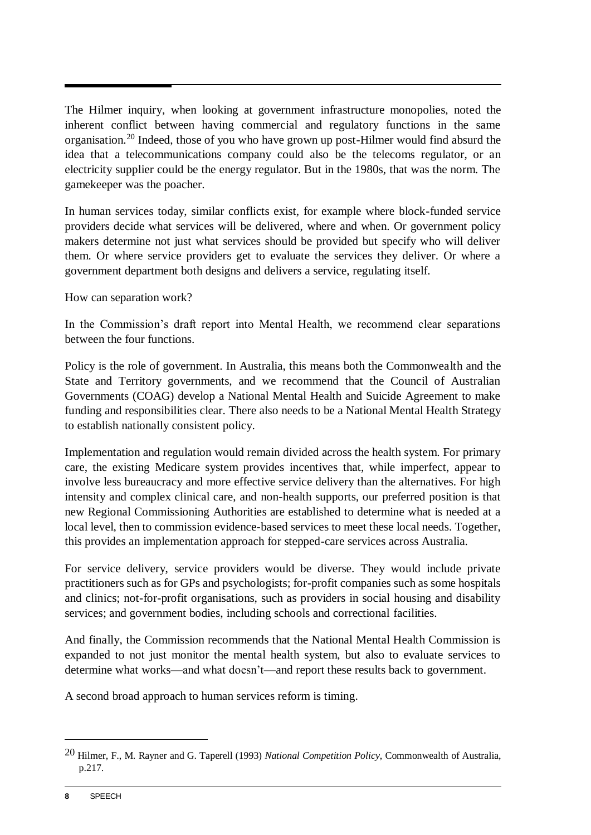The Hilmer inquiry, when looking at government infrastructure monopolies, noted the inherent conflict between having commercial and regulatory functions in the same organisation.<sup>20</sup> Indeed, those of you who have grown up post-Hilmer would find absurd the idea that a telecommunications company could also be the telecoms regulator, or an electricity supplier could be the energy regulator. But in the 1980s, that was the norm. The gamekeeper was the poacher.

In human services today, similar conflicts exist, for example where block-funded service providers decide what services will be delivered, where and when. Or government policy makers determine not just what services should be provided but specify who will deliver them. Or where service providers get to evaluate the services they deliver. Or where a government department both designs and delivers a service, regulating itself.

How can separation work?

In the Commission's draft report into Mental Health, we recommend clear separations between the four functions.

Policy is the role of government. In Australia, this means both the Commonwealth and the State and Territory governments, and we recommend that the Council of Australian Governments (COAG) develop a National Mental Health and Suicide Agreement to make funding and responsibilities clear. There also needs to be a National Mental Health Strategy to establish nationally consistent policy.

Implementation and regulation would remain divided across the health system. For primary care, the existing Medicare system provides incentives that, while imperfect, appear to involve less bureaucracy and more effective service delivery than the alternatives. For high intensity and complex clinical care, and non-health supports, our preferred position is that new Regional Commissioning Authorities are established to determine what is needed at a local level, then to commission evidence-based services to meet these local needs. Together, this provides an implementation approach for stepped-care services across Australia.

For service delivery, service providers would be diverse. They would include private practitioners such as for GPs and psychologists; for-profit companies such as some hospitals and clinics; not-for-profit organisations, such as providers in social housing and disability services; and government bodies, including schools and correctional facilities.

And finally, the Commission recommends that the National Mental Health Commission is expanded to not just monitor the mental health system, but also to evaluate services to determine what works—and what doesn't—and report these results back to government.

A second broad approach to human services reform is timing.

<sup>20</sup> Hilmer, F., M. Rayner and G. Taperell (1993) *National Competition Policy*, Commonwealth of Australia, p.217.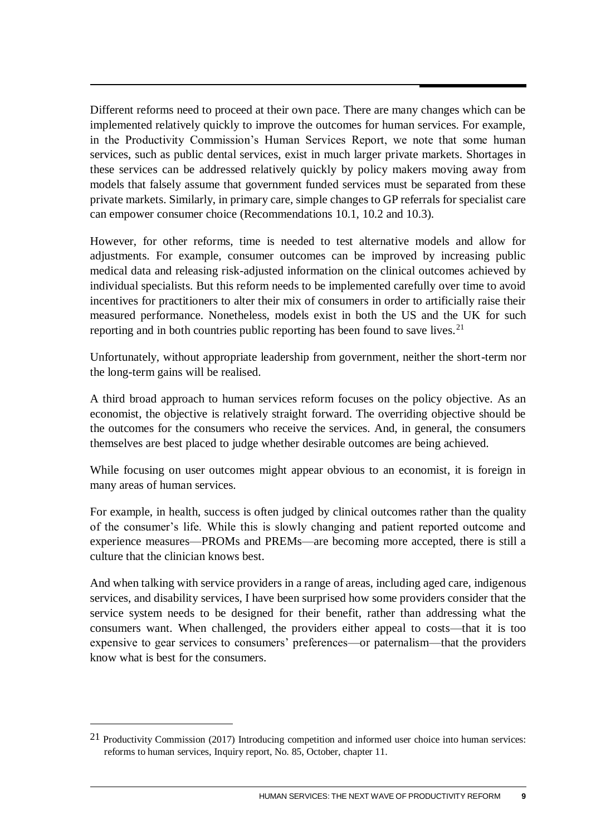Different reforms need to proceed at their own pace. There are many changes which can be implemented relatively quickly to improve the outcomes for human services. For example, in the Productivity Commission's Human Services Report, we note that some human services, such as public dental services, exist in much larger private markets. Shortages in these services can be addressed relatively quickly by policy makers moving away from models that falsely assume that government funded services must be separated from these private markets. Similarly, in primary care, simple changes to GP referrals for specialist care can empower consumer choice (Recommendations 10.1, 10.2 and 10.3).

However, for other reforms, time is needed to test alternative models and allow for adjustments. For example, consumer outcomes can be improved by increasing public medical data and releasing risk-adjusted information on the clinical outcomes achieved by individual specialists. But this reform needs to be implemented carefully over time to avoid incentives for practitioners to alter their mix of consumers in order to artificially raise their measured performance. Nonetheless, models exist in both the US and the UK for such reporting and in both countries public reporting has been found to save lives.<sup>21</sup>

Unfortunately, without appropriate leadership from government, neither the short-term nor the long-term gains will be realised.

A third broad approach to human services reform focuses on the policy objective. As an economist, the objective is relatively straight forward. The overriding objective should be the outcomes for the consumers who receive the services. And, in general, the consumers themselves are best placed to judge whether desirable outcomes are being achieved.

While focusing on user outcomes might appear obvious to an economist, it is foreign in many areas of human services.

For example, in health, success is often judged by clinical outcomes rather than the quality of the consumer's life. While this is slowly changing and patient reported outcome and experience measures—PROMs and PREMs—are becoming more accepted, there is still a culture that the clinician knows best.

And when talking with service providers in a range of areas, including aged care, indigenous services, and disability services, I have been surprised how some providers consider that the service system needs to be designed for their benefit, rather than addressing what the consumers want. When challenged, the providers either appeal to costs—that it is too expensive to gear services to consumers' preferences—or paternalism—that the providers know what is best for the consumers.

<sup>21</sup> Productivity Commission (2017) Introducing competition and informed user choice into human services: reforms to human services, Inquiry report, No. 85, October, chapter 11.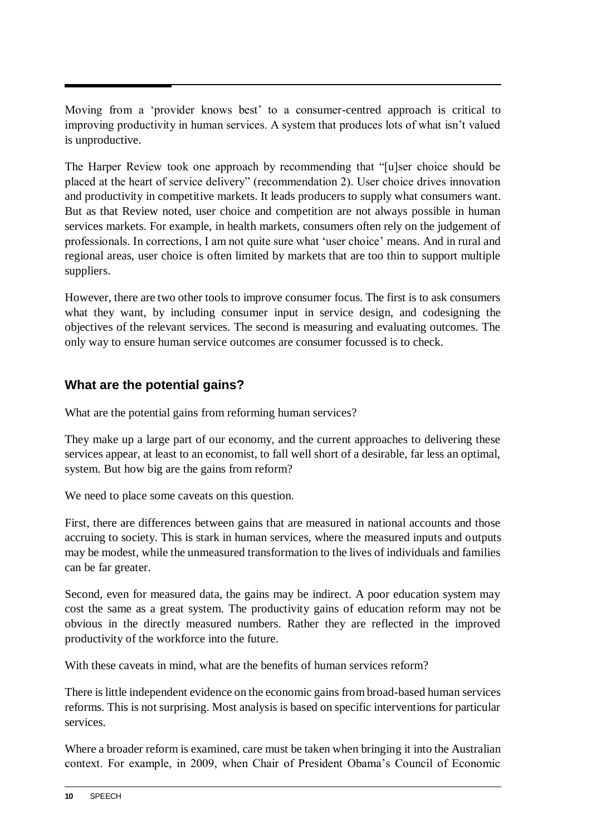Moving from a 'provider knows best' to a consumer-centred approach is critical to improving productivity in human services. A system that produces lots of what isn't valued is unproductive.

The Harper Review took one approach by recommending that "[u]ser choice should be placed at the heart of service delivery" (recommendation 2). User choice drives innovation and productivity in competitive markets. It leads producers to supply what consumers want. But as that Review noted, user choice and competition are not always possible in human services markets. For example, in health markets, consumers often rely on the judgement of professionals. In corrections, I am not quite sure what 'user choice' means. And in rural and regional areas, user choice is often limited by markets that are too thin to support multiple suppliers.

However, there are two other tools to improve consumer focus. The first is to ask consumers what they want, by including consumer input in service design, and codesigning the objectives of the relevant services. The second is measuring and evaluating outcomes. The only way to ensure human service outcomes are consumer focussed is to check.

# **What are the potential gains?**

What are the potential gains from reforming human services?

They make up a large part of our economy, and the current approaches to delivering these services appear, at least to an economist, to fall well short of a desirable, far less an optimal, system. But how big are the gains from reform?

We need to place some caveats on this question.

First, there are differences between gains that are measured in national accounts and those accruing to society. This is stark in human services, where the measured inputs and outputs may be modest, while the unmeasured transformation to the lives of individuals and families can be far greater.

Second, even for measured data, the gains may be indirect. A poor education system may cost the same as a great system. The productivity gains of education reform may not be obvious in the directly measured numbers. Rather they are reflected in the improved productivity of the workforce into the future.

With these caveats in mind, what are the benefits of human services reform?

There is little independent evidence on the economic gains from broad-based human services reforms. This is not surprising. Most analysis is based on specific interventions for particular services.

Where a broader reform is examined, care must be taken when bringing it into the Australian context. For example, in 2009, when Chair of President Obama's Council of Economic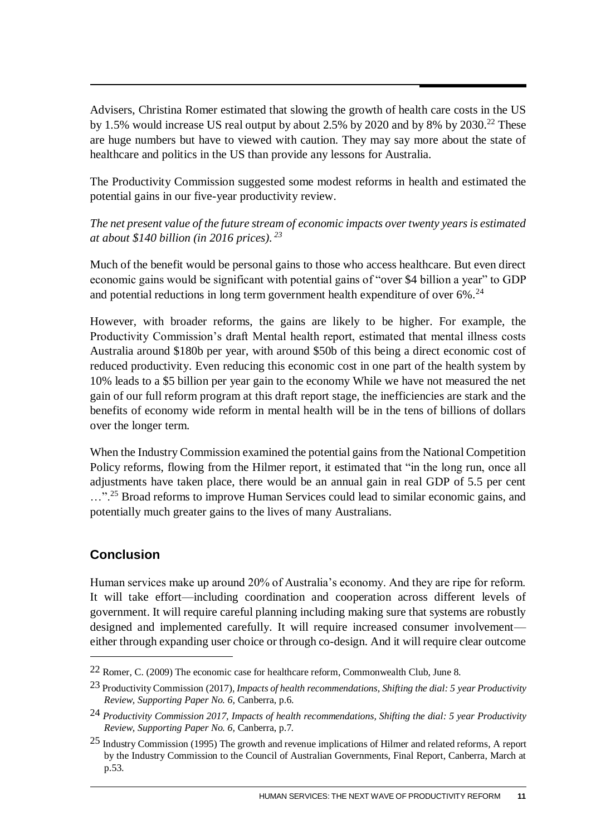Advisers, Christina Romer estimated that slowing the growth of health care costs in the US by 1.5% would increase US real output by about 2.5% by 2020 and by 8% by 2030.<sup>22</sup> These are huge numbers but have to viewed with caution. They may say more about the state of healthcare and politics in the US than provide any lessons for Australia.

The Productivity Commission suggested some modest reforms in health and estimated the potential gains in our five-year productivity review.

*The net present value of the future stream of economic impacts over twenty years is estimated at about \$140 billion (in 2016 prices). <sup>23</sup>*

Much of the benefit would be personal gains to those who access healthcare. But even direct economic gains would be significant with potential gains of "over \$4 billion a year" to GDP and potential reductions in long term government health expenditure of over  $6\%$ .<sup>24</sup>

However, with broader reforms, the gains are likely to be higher. For example, the Productivity Commission's draft Mental health report, estimated that mental illness costs Australia around \$180b per year, with around \$50b of this being a direct economic cost of reduced productivity. Even reducing this economic cost in one part of the health system by 10% leads to a \$5 billion per year gain to the economy While we have not measured the net gain of our full reform program at this draft report stage, the inefficiencies are stark and the benefits of economy wide reform in mental health will be in the tens of billions of dollars over the longer term.

When the Industry Commission examined the potential gains from the National Competition Policy reforms, flowing from the Hilmer report, it estimated that "in the long run, once all adjustments have taken place, there would be an annual gain in real GDP of 5.5 per cent ..."<sup>25</sup> Broad reforms to improve Human Services could lead to similar economic gains, and potentially much greater gains to the lives of many Australians.

## **Conclusion**

1

Human services make up around 20% of Australia's economy. And they are ripe for reform. It will take effort—including coordination and cooperation across different levels of government. It will require careful planning including making sure that systems are robustly designed and implemented carefully. It will require increased consumer involvement either through expanding user choice or through co-design. And it will require clear outcome

<sup>22</sup> Romer, C. (2009) The economic case for healthcare reform, Commonwealth Club, June 8.

<sup>23</sup> Productivity Commission (2017)*, Impacts of health recommendations, Shifting the dial: 5 year Productivity Review, Supporting Paper No. 6,* Canberra, p.6.

<sup>24</sup> *Productivity Commission 2017, Impacts of health recommendations, Shifting the dial: 5 year Productivity Review, Supporting Paper No. 6,* Canberra, p.7*.*

<sup>25</sup> Industry Commission (1995) The growth and revenue implications of Hilmer and related reforms, A report by the Industry Commission to the Council of Australian Governments, Final Report, Canberra, March at p.53.